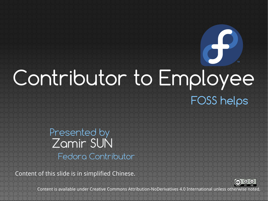# FOSS helps Contributor to Employee

#### Zamir SUN Presented by Fedora Contributor

Content of this slide is in simplified Chinese.



 $\sigma$ 

Content is available under Creative Commons Attribution-NoDerivatives 4.0 International unless otherwise noted.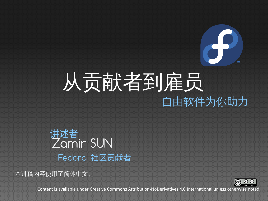## 自由软件为你助力 从贡献者到雇员

Zamir SUN 讲述者 Fedora 社区贡献者

本讲稿内容使用了简体中文。



ch

Content is available under Creative Commons Attribution-NoDerivatives 4.0 International unless otherwise noted.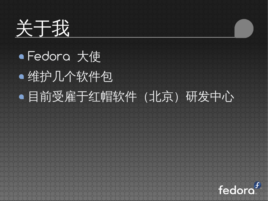

## ● Fedora 大使 维护几个软件包 目前受雇于红帽软件(北京)研发中心

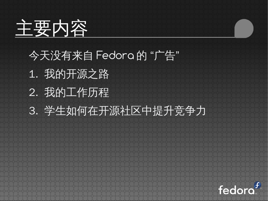

#### 今天没有来自 Fedora 的 "广告"

- 1. 我的开源之路
- 2. 我的工作历程
- 3. 学生如何在开源社区中提升竞争力

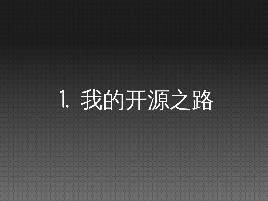# 1. 我的开源之路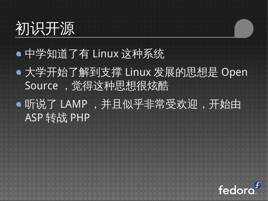

#### 中学知道了有 Linux 这种系统

大学开始了解到支撑 Linux 发展的思想是 Open Source, 觉得这种思想很炫酷

听说了 LAMP ,并且似乎非常受欢迎,开始由 ASP 转战 PHP

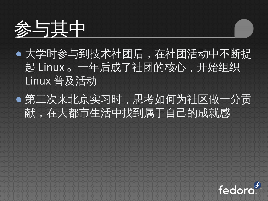

- 大学时参与到技术社团后,在社团活动中不断提 起 Linux。一年后成了社团的核心,开始组织 Linux 普及活动
- 第二次来北京实习时,思考如何为社区做一分贡 献,在大都市生活中找到属于自己的成就感

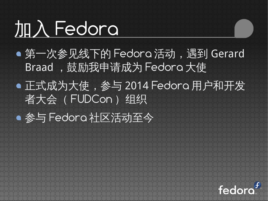# 加入 Fedora

第一次参见线下的 Fedora 活动,遇到 Gerard Braad, 鼓励我申请成为 Fedoro 大使 正式成为大使,参与 2014 Fedora 用户和开发 者大会(FUDCon)组织 参与 Fedora 社区活动至今

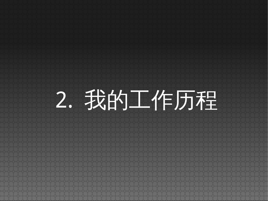# 2. 我的工作历程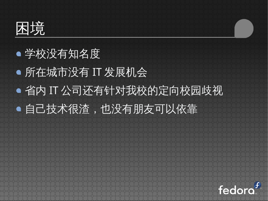困境

### 学校没有知名度 所在城市没有 IT 发展机会 省内 IT 公司还有针对我校的定向校园歧视 自己技术很渣,也没有朋友可以依靠

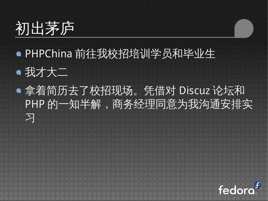## 初出茅庐

- PHPChina 前往我校招培训学员和毕业生
- 我才大二
- 拿着简历去了校招现场。凭借对 Discuz 论坛和 PHP 的一知半解, 商务经理同意为我沟通安排实 习

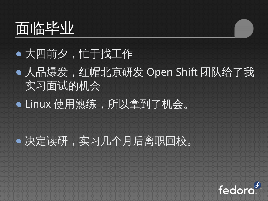## 面临毕业

#### 大四前夕,忙于找工作

人品爆发,红帽北京研发 Open Shift 团队给了我 实习面试的机会

● Linux 使用熟练,所以拿到了机会。

#### 决定读研,实习几个月后离职回校。

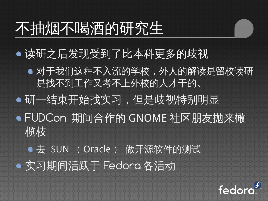### 不抽烟不喝酒的研究生

- 读研之后发现受到了比本科更多的歧视
	- 对于我们这种不入流的学校,外人的解读是留校读研 是找不到工作又考不上外校的人才干的。
- 研一结束开始找实习,但是歧视特别明显
- FUDCon 期间合作的 GNOME 社区朋友抛来橄 术览术支
- 去 SUN (Oracle) 做开源软件的测试 实习期间活跃于 Fedora 各活动

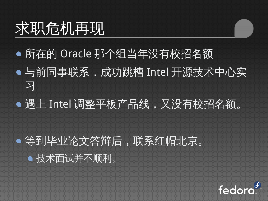## 求职危机再现

所在的 Oracle 那个组当年没有校招名额 与前同事联系,成功跳槽 Intel 开源技术中心实 习 遇上 Intel 调整平板产品线,又没有校招名额。 等到毕业论文答辩后,联系红帽北京。 技术面试并不顺利。

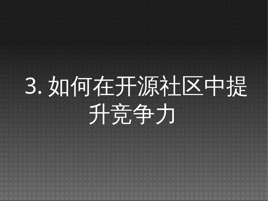# 3. 如何在开源社区中提 升竞争力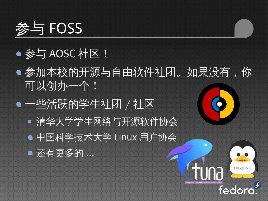

#### ● 参与 AOSC 社区!

- 参加本校的开源与自由软件社团。如果没有,你 可以创办一个!
- 一些活跃的学生社团 / 社区 清华大学学生网络与开源软件协会 中国科学技术大学 Linux 用户协会 还有更多的 ...

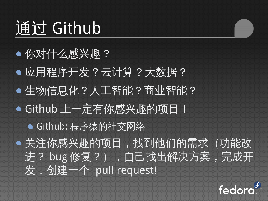## 通过 Github

#### 你对什么感兴趣 ?

应用程序开发 ? 云计算 ? 大数据 ? 生物信息化?人工智能?商业智能? Github 上一定有你感兴趣的项目! Github: 程序猿的社交网络 关注你感兴趣的项目,找到他们的需求(功能改 进? bug 修复?), 自己找出解决方案, 完成开 发,创建一个 pull request!

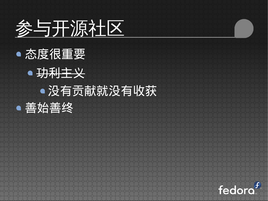

态度很重要 功利主义 没有贡献就没有收获



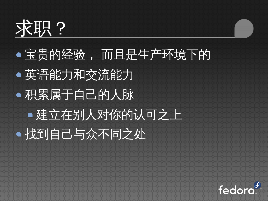## 求职?

## 宝贵的经验, 而且是生产环境下的 英语能力和交流能力 积累属于自己的人脉 建立在别人对你的认可之上 找到自己与众不同之处

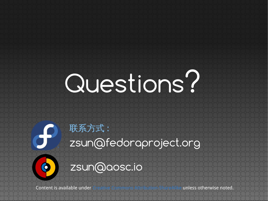# Questions?

## zsun@fedoraproject.org 联系方式 : zsun@aosc.io

Content is available under [Creative Commons Attribution-ShareAlike](http://creativecommons.org/licenses/by-sa/3.0/) unless otherwise noted.